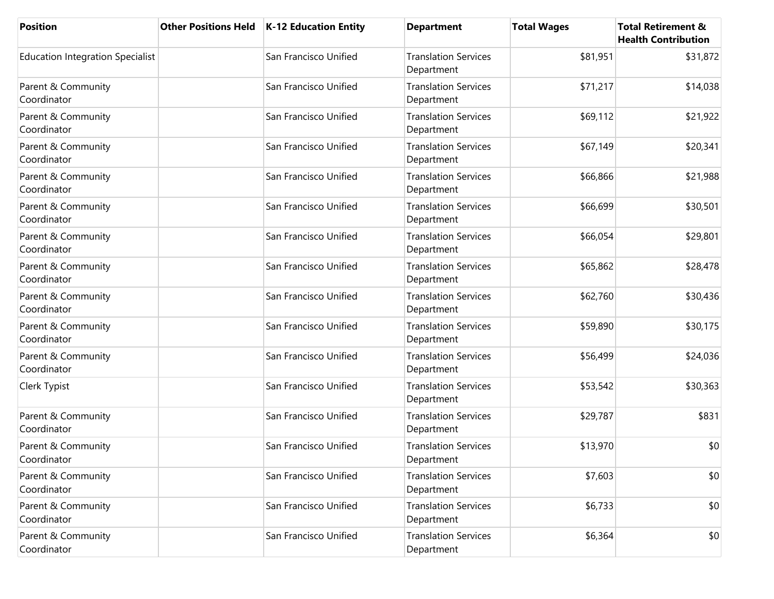| <b>Position</b>                         | <b>Other Positions Held</b> | K-12 Education Entity | <b>Department</b>                         | <b>Total Wages</b> | <b>Total Retirement &amp;</b><br><b>Health Contribution</b> |
|-----------------------------------------|-----------------------------|-----------------------|-------------------------------------------|--------------------|-------------------------------------------------------------|
| <b>Education Integration Specialist</b> |                             | San Francisco Unified | <b>Translation Services</b><br>Department | \$81,951           | \$31,872                                                    |
| Parent & Community<br>Coordinator       |                             | San Francisco Unified | <b>Translation Services</b><br>Department | \$71,217           | \$14,038                                                    |
| Parent & Community<br>Coordinator       |                             | San Francisco Unified | <b>Translation Services</b><br>Department | \$69,112           | \$21,922                                                    |
| Parent & Community<br>Coordinator       |                             | San Francisco Unified | <b>Translation Services</b><br>Department | \$67,149           | \$20,341                                                    |
| Parent & Community<br>Coordinator       |                             | San Francisco Unified | <b>Translation Services</b><br>Department | \$66,866           | \$21,988                                                    |
| Parent & Community<br>Coordinator       |                             | San Francisco Unified | <b>Translation Services</b><br>Department | \$66,699           | \$30,501                                                    |
| Parent & Community<br>Coordinator       |                             | San Francisco Unified | <b>Translation Services</b><br>Department | \$66,054           | \$29,801                                                    |
| Parent & Community<br>Coordinator       |                             | San Francisco Unified | <b>Translation Services</b><br>Department | \$65,862           | \$28,478                                                    |
| Parent & Community<br>Coordinator       |                             | San Francisco Unified | <b>Translation Services</b><br>Department | \$62,760           | \$30,436                                                    |
| Parent & Community<br>Coordinator       |                             | San Francisco Unified | <b>Translation Services</b><br>Department | \$59,890           | \$30,175                                                    |
| Parent & Community<br>Coordinator       |                             | San Francisco Unified | <b>Translation Services</b><br>Department | \$56,499           | \$24,036                                                    |
| Clerk Typist                            |                             | San Francisco Unified | <b>Translation Services</b><br>Department | \$53,542           | \$30,363                                                    |
| Parent & Community<br>Coordinator       |                             | San Francisco Unified | <b>Translation Services</b><br>Department | \$29,787           | \$831                                                       |
| Parent & Community<br>Coordinator       |                             | San Francisco Unified | <b>Translation Services</b><br>Department | \$13,970           | \$0                                                         |
| Parent & Community<br>Coordinator       |                             | San Francisco Unified | <b>Translation Services</b><br>Department | \$7,603            | \$0                                                         |
| Parent & Community<br>Coordinator       |                             | San Francisco Unified | <b>Translation Services</b><br>Department | \$6,733            | \$0                                                         |
| Parent & Community<br>Coordinator       |                             | San Francisco Unified | <b>Translation Services</b><br>Department | \$6,364            | \$0                                                         |